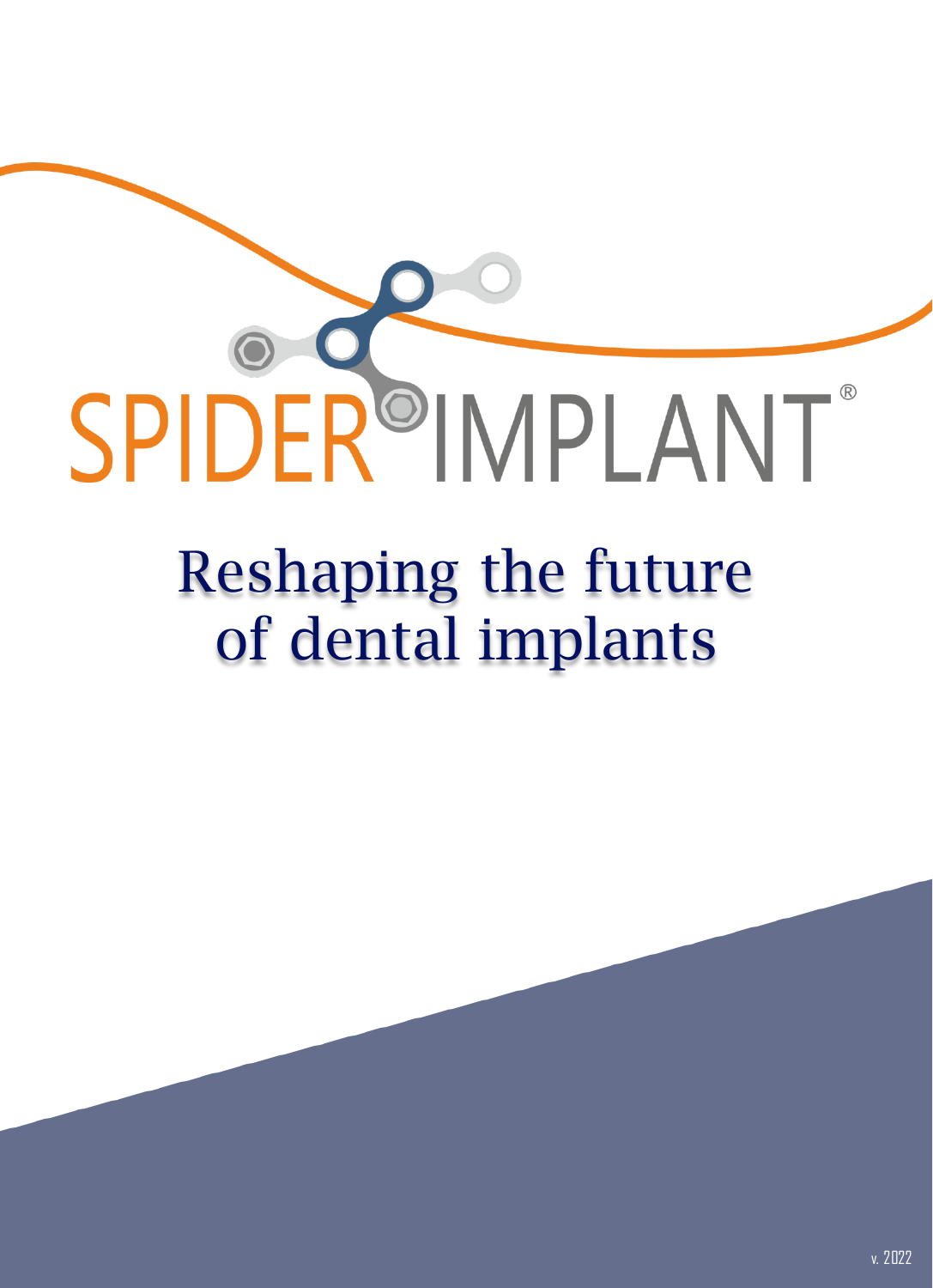# SPIDER<sup>O</sup>IMPLANT®

## Reshaping the future of dental implants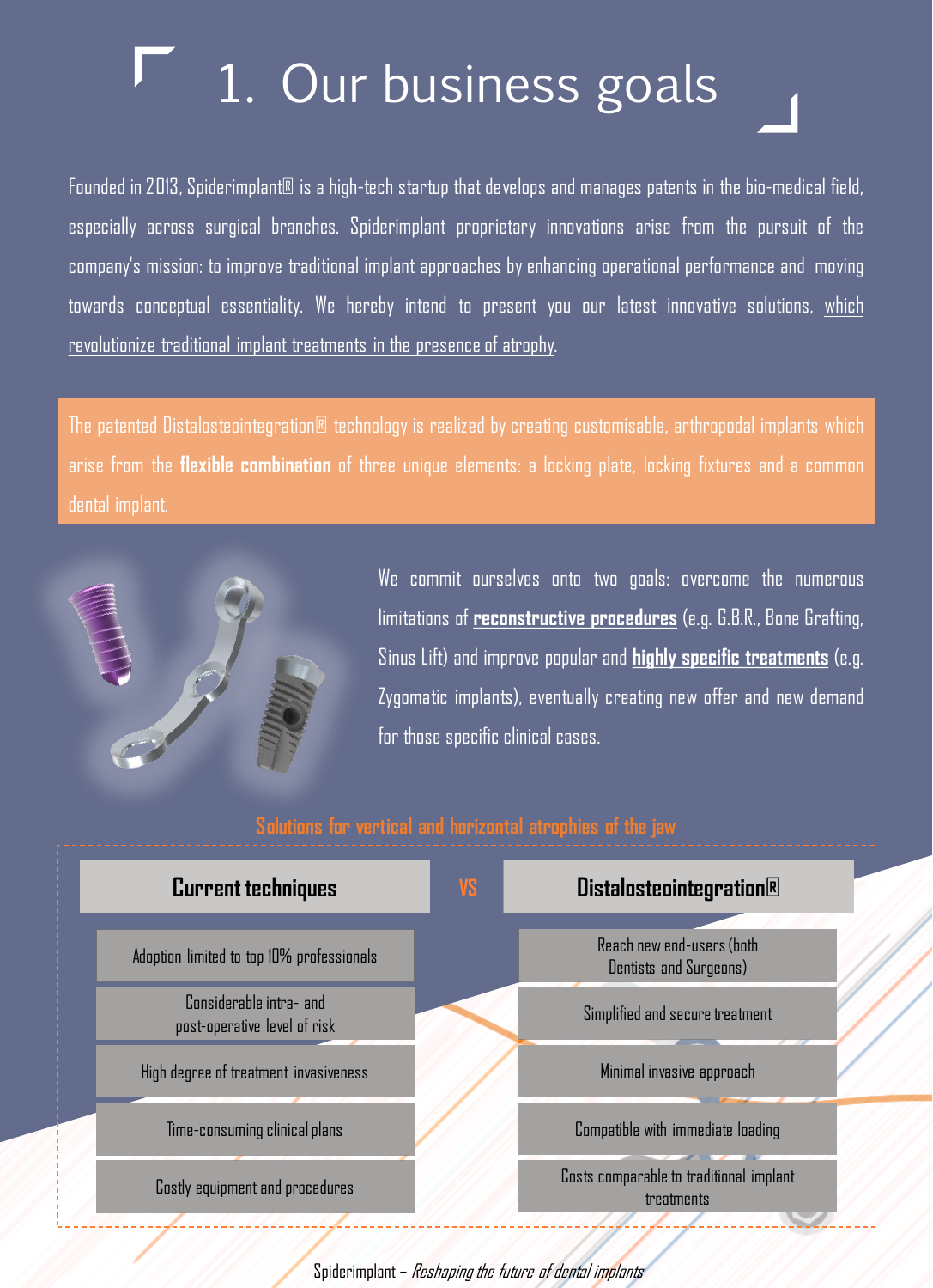## 1. Our business goals

Founded in 2013, Spiderimplant® is a high-tech startup that develops and manages patents in the bio-medical field, especially across surgical branches. Spiderimplant proprietary innovations arise from the pursuit of the company's mission: to improve traditional implant approaches by enhancing operational performance and moving towards conceptual essentiality. We hereby intend to present you our latest innovative solutions, which revolutionize traditional implant treatments in the presence of atrophy.

The patented Distalosteointegration® technology is realized by creating customisable, arthropodal implants which arise from the **flexible combination** of three unique elements: a locking plate, locking fixtures and a common dental implant.



We commit ourselves onto two goals: overcome the numerous limitations of **reconstructive procedures** (e.g. G.B.R., Bone Grafting, Sinus Lift) and improve popular and **highly specific treatments** (e.g. Zygomatic implants), eventually creating new offer and new demand for those specific clinical cases.

| <b>Current techniques</b>                               | VS. | <b>Distalosteointegration</b> ®                       |
|---------------------------------------------------------|-----|-------------------------------------------------------|
| Adoption limited to top 10% professionals               |     | Reach new end-users (both<br>Dentists and Surgeons)   |
| Considerable intra- and<br>post-operative level of risk |     | Simplified and secure treatment                       |
| High degree of treatment invasiveness                   |     | Minimal invasive approach                             |
| Time-consuming clinical plans                           |     | Compatible with immediate loading                     |
| Costly equipment and procedures                         |     | Costs comparable to traditional implant<br>treatments |

Spiderimplant – Reshaping the future of dental implants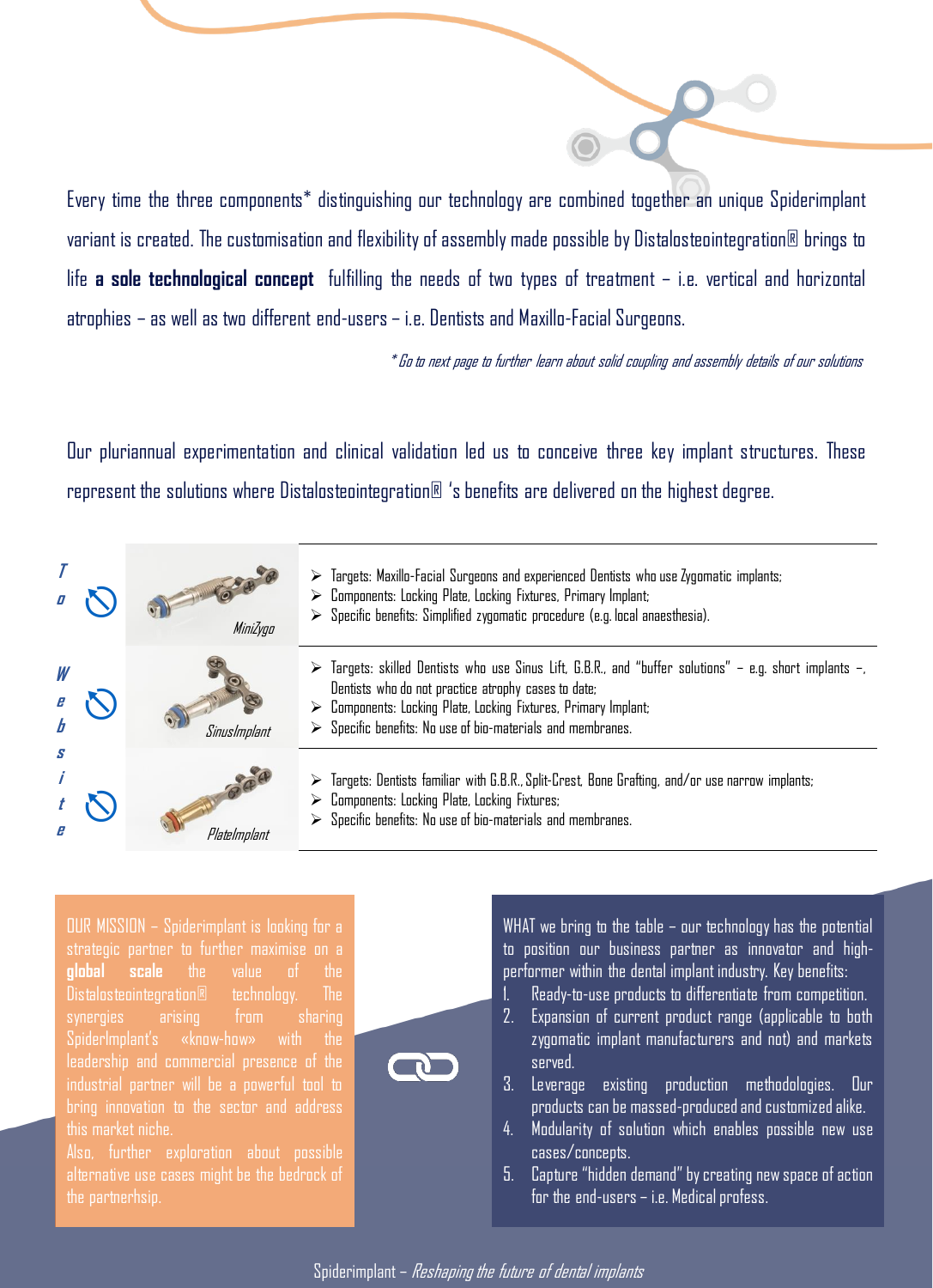Every time the three components\* distinguishing our technology are combined together an unique Spiderimplant variant is created. The customisation and flexibilityof assembly made possible by Distalosteointegration® brings to life **a sole technological concept** fulfilling the needs of two types of treatment – i.e. vertical and horizontal atrophies – as well as two different end-users – i.e. Dentists and Maxillo-Facial Surgeons.

 $^{\ast}$ Go to next page to further learn about solid coupling and assembly details of our solutions

Our pluriannual experimentation and clinical validation led us to conceive three key implant structures. These represent the solutions where Distalosteointegration<sup>®</sup> 's benefits are delivered on the highest degree.

|   | MiniZyga     | $\triangleright$ Targets: Maxillo-Facial Surgeons and experienced Dentists who use Zygomatic implants;<br>$\triangleright$ Components: Locking Plate, Locking Fixtures, Primary Implant;<br>$\triangleright$ Specific benefits: Simplified zygomatic procedure (e.g. local anaesthesia).                                                      |
|---|--------------|-----------------------------------------------------------------------------------------------------------------------------------------------------------------------------------------------------------------------------------------------------------------------------------------------------------------------------------------------|
| W | Sinuslmplant | $\triangleright$ Targets: skilled Dentists who use Sinus Lift, G.B.R., and "buffer solutions" – e.g. short implants –,<br>Dentists who do not practice atrophy cases to date;<br>$\triangleright$ Components: Locking Plate, Locking Fixtures, Primary Implant;<br>$\triangleright$ Specific benefits: No use of bio-materials and membranes. |
| S | Platelmplant | $\triangleright$ Targets: Dentists familiar with G.B.R., Split-Crest, Bone Grafting, and/or use narrow implants;<br>$\triangleright$ Components: Locking Plate, Locking Fixtures;<br>$\triangleright$ Specific benefits: No use of bio-materials and membranes.                                                                               |

ou<br>Rands Mission – Spiderimplant is looking for a partner to maximise on a global scale strategic partner to further maximise on a the value of the Distalosteointegration® **global scale** the value of the  $\mathsf{Distance}$  bistalosteointegration® technology. The synergies arising from sharing SpiderImplant's «know-how» with the<br>' presence of the industrial partner, will industrial partner will be a powerful tool to maded in parties. In the a penerior derive<br>bring innovation to the sector and address this market niche. In this market niche. leadership and commercial presence of the

alternative use cases might be the bedrock of the partnerhsip.



Spiderimplant – Reshaping the future of dental implants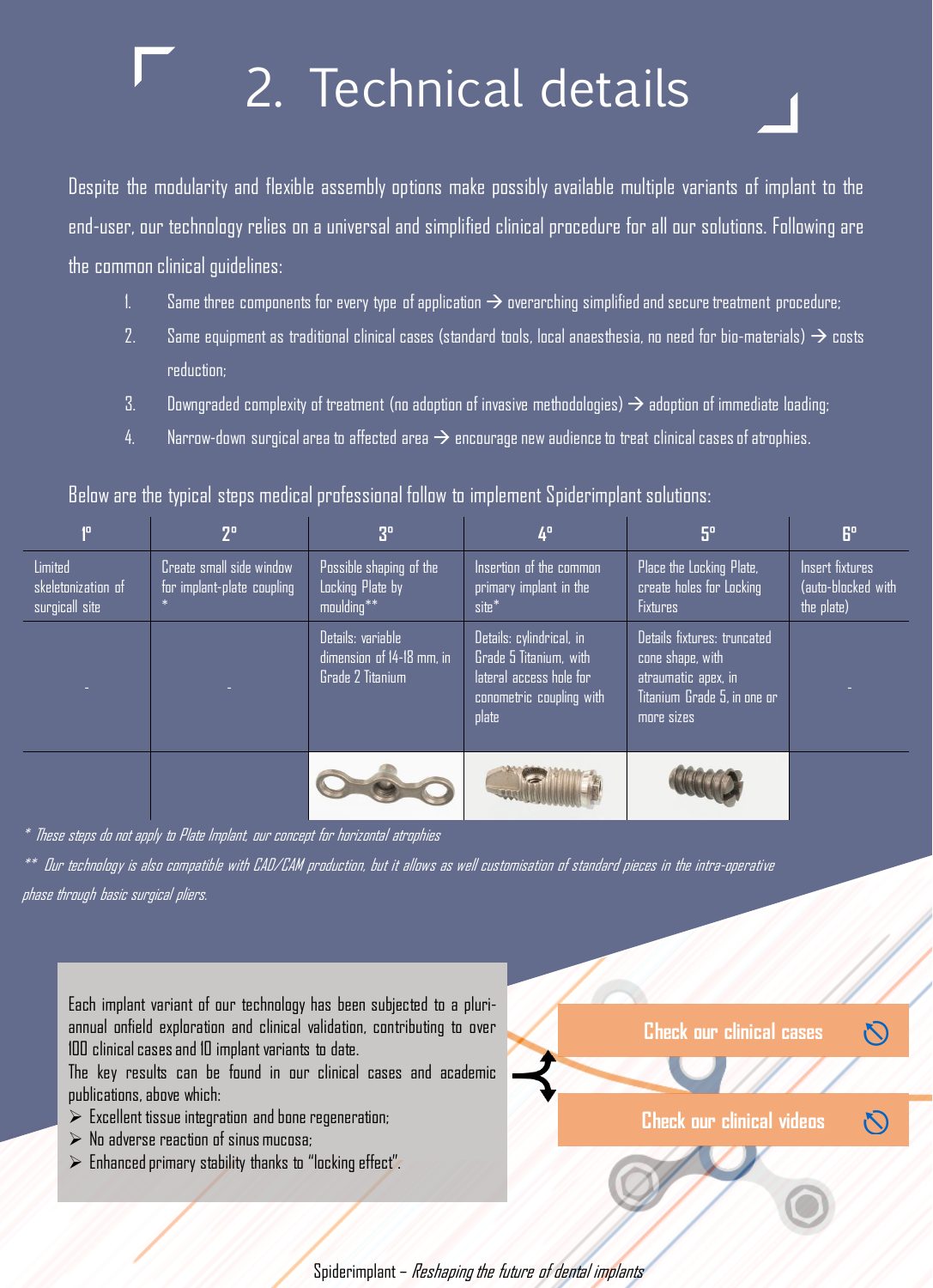## 2. Technical details

Despite the modularity and flexible assembly options make possibly available multiple variants of implant to the end-user, our technology relies on a universal and simplified clinical procedure for all our solutions. Following are the common clinical quidelines:

- 1. Same three components for every type of application  $\rightarrow$  overarching simplified and secure treatment procedure;
- 2. Same equipment as traditional clinical cases (standard tools, local anaesthesia, no need for bio-materials)  $\rightarrow$  costs reduction;
- 3. Downgraded complexity of treatment (no adoption of invasive methodologies)  $\rightarrow$  adoption of immediate loading;
- 4. Narrow-down surgical area to affected area  $\rightarrow$  encourage new audience to treat clinical cases of atrophies.

|                                                 | $2^{\circ}$                                            | 3 <sup>o</sup>                                                     | 4º                                                                                                                 | $5^\circ$                                                                                                           | 6°                                                  |
|-------------------------------------------------|--------------------------------------------------------|--------------------------------------------------------------------|--------------------------------------------------------------------------------------------------------------------|---------------------------------------------------------------------------------------------------------------------|-----------------------------------------------------|
| Limited<br>skeletonization of<br>surgicall site | Create small side window<br>for implant-plate coupling | Possible shaping of the<br>Locking Plate by<br>moulding**          | Insertion of the common<br>primary implant in the<br>site*                                                         | Place the Locking Plate,<br>create holes for Locking<br><b>Fixtures</b>                                             | Insert fixtures<br>(auto-blocked with<br>the plate) |
|                                                 |                                                        | Details: variable<br>dimension of 14-18 mm, in<br>Grade 2 Titanium | Details: cylindrical, in<br>Grade 5 Titanium, with<br>lateral access hole for<br>conometric coupling with<br>plate | Details fixtures: truncated<br>cone shape, with<br>atraumatic apex, in<br>Titanium Grade 5, in one or<br>more sizes |                                                     |
|                                                 |                                                        |                                                                    |                                                                                                                    |                                                                                                                     |                                                     |

Below are the typical steps medical professional follow to implement Spiderimplant solutions:

\* These steps do not apply to Plate Implant, our concept for horizontal atrophies

\*\* Our technology is also compatible with CAD/CAM production, but it allows as well customisation of standard pieces in the intra-operative phase through basic surgical pliers.

Each implant variant of our technology has been subjected to a pluriannual onfield exploration and clinical validation, contributing to over<br>1994 is a little sharing that is a little state of the state of the state of the state of the state of the sta 100 clinical cases and 10 implant variants to date.

noo connearcases and io impiant variants to date.<br>The key results can be found in our clinical cases and academic mercial presence of the industrial and some all behavior of the assessment publications, above which:

- $\triangleright$  Excellent tissue integration and bone regeneration;
- $\triangleright$  No adverse reaction of sinus mucosa;
- $\triangleright$  Enhanced primary stability thanks to "locking effect".

**Check our clinical cases**

[⎋](https://spiderimplant.com/en/research-2/)

 $\mathcal{N}$ 

**Check our clinical videos**

Spiderimplant – Reshaping the future of dental implants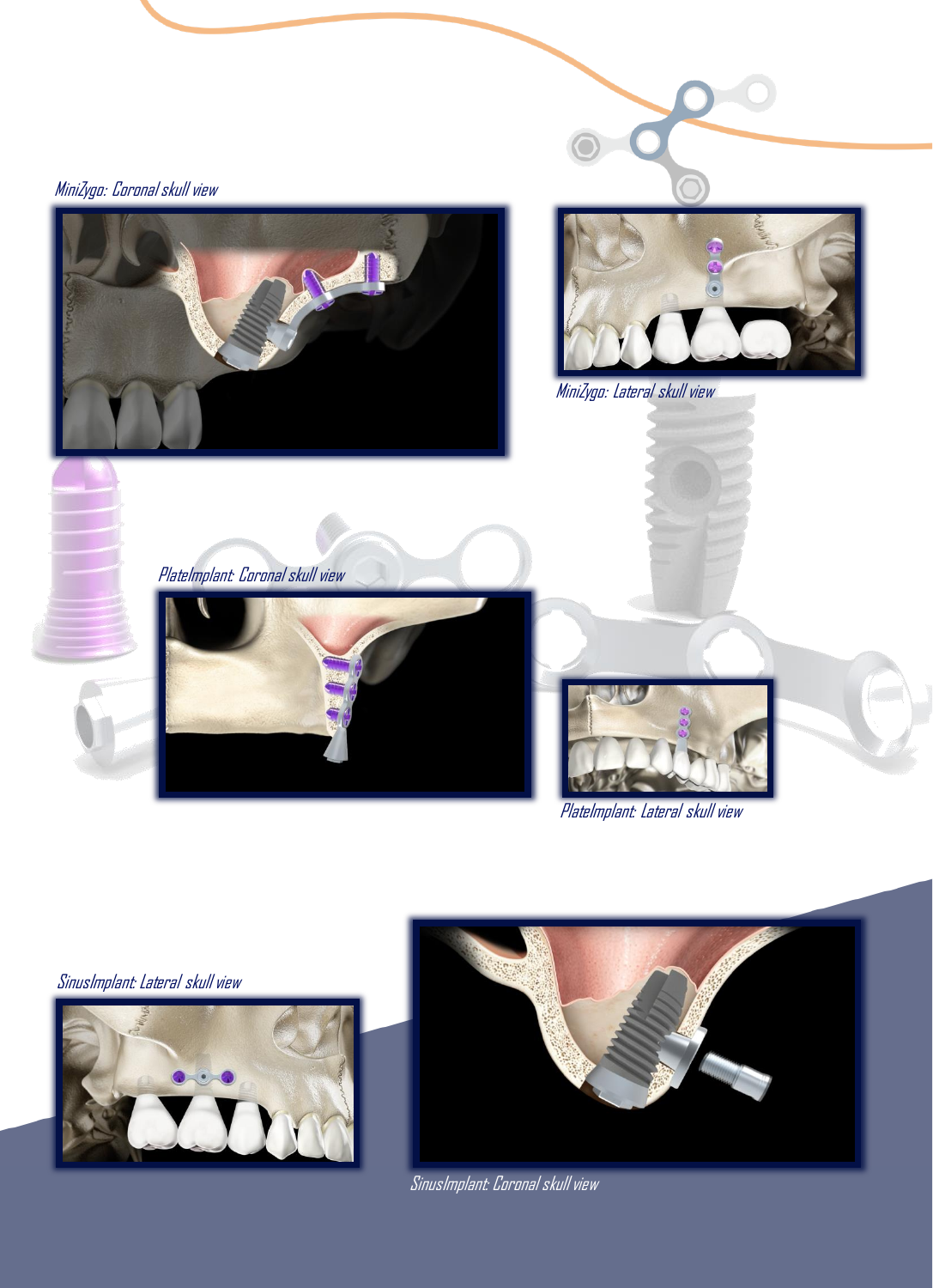

PlateImplant: Lateral skull view

SinusImplant: Lateral skull view





SinusImplant: Coronal skull view